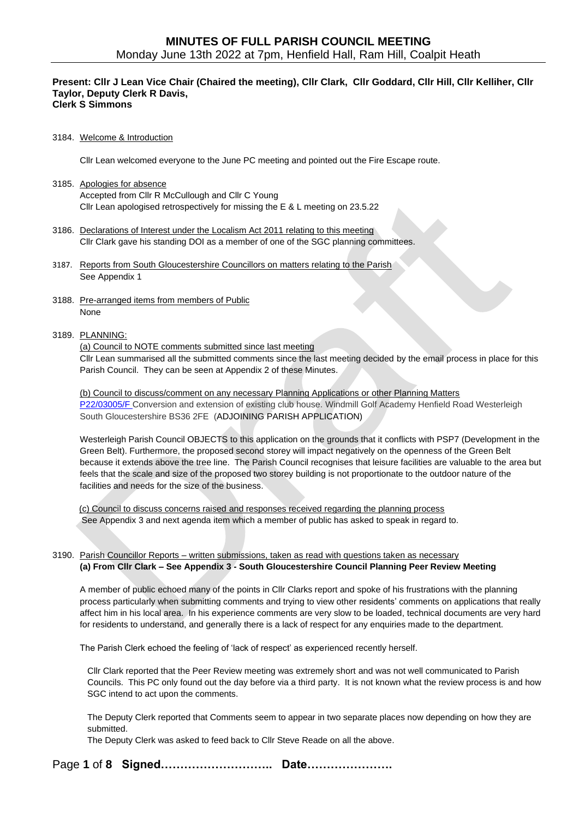#### **Present: Cllr J Lean Vice Chair (Chaired the meeting), Cllr Clark, Cllr Goddard, Cllr Hill, Cllr Kelliher, Cllr Taylor, Deputy Clerk R Davis, Clerk S Simmons**

### 3184. Welcome & Introduction

Cllr Lean welcomed everyone to the June PC meeting and pointed out the Fire Escape route.

- 3185. Apologies for absence Accepted from Cllr R McCullough and Cllr C Young Cllr Lean apologised retrospectively for missing the E & L meeting on 23.5.22
- 3186. Declarations of Interest under the Localism Act 2011 relating to this meeting Cllr Clark gave his standing DOI as a member of one of the SGC planning committees.
- 3187. Reports from South Gloucestershire Councillors on matters relating to the Parish See Appendix 1
- 3188. Pre-arranged items from members of Public None

#### 3189. PLANNING:

#### (a) Council to NOTE comments submitted since last meeting

Cllr Lean summarised all the submitted comments since the last meeting decided by the email process in place for this Parish Council. They can be seen at Appendix 2 of these Minutes.

(b) Council to discuss/comment on any necessary Planning Applications or other Planning Matters [P22/03005/F](https://developments.southglos.gov.uk/online-applications/applicationDetails.do?activeTab=documents&keyVal=RCJ9T5OKGCM00) Conversion and extension of existing club house. Windmill Golf Academy Henfield Road Westerleigh South Gloucestershire BS36 2FE (ADJOINING PARISH APPLICATION)

Westerleigh Parish Council OBJECTS to this application on the grounds that it conflicts with PSP7 (Development in the Green Belt). Furthermore, the proposed second storey will impact negatively on the openness of the Green Belt because it extends above the tree line. The Parish Council recognises that leisure facilities are valuable to the area but feels that the scale and size of the proposed two storey building is not proportionate to the outdoor nature of the facilities and needs for the size of the business.

 (c) Council to discuss concerns raised and responses received regarding the planning process See Appendix 3 and next agenda item which a member of public has asked to speak in regard to.

### 3190. Parish Councillor Reports – written submissions, taken as read with questions taken as necessary **(a) From Cllr Clark – See Appendix 3 - South Gloucestershire Council Planning Peer Review Meeting**

A member of public echoed many of the points in Cllr Clarks report and spoke of his frustrations with the planning process particularly when submitting comments and trying to view other residents' comments on applications that really affect him in his local area. In his experience comments are very slow to be loaded, technical documents are very hard for residents to understand, and generally there is a lack of respect for any enquiries made to the department.

The Parish Clerk echoed the feeling of 'lack of respect' as experienced recently herself.

Cllr Clark reported that the Peer Review meeting was extremely short and was not well communicated to Parish Councils. This PC only found out the day before via a third party. It is not known what the review process is and how SGC intend to act upon the comments.

The Deputy Clerk reported that Comments seem to appear in two separate places now depending on how they are submitted.

The Deputy Clerk was asked to feed back to Cllr Steve Reade on all the above.

Page **1** of **8 Signed……………………….. Date………………….**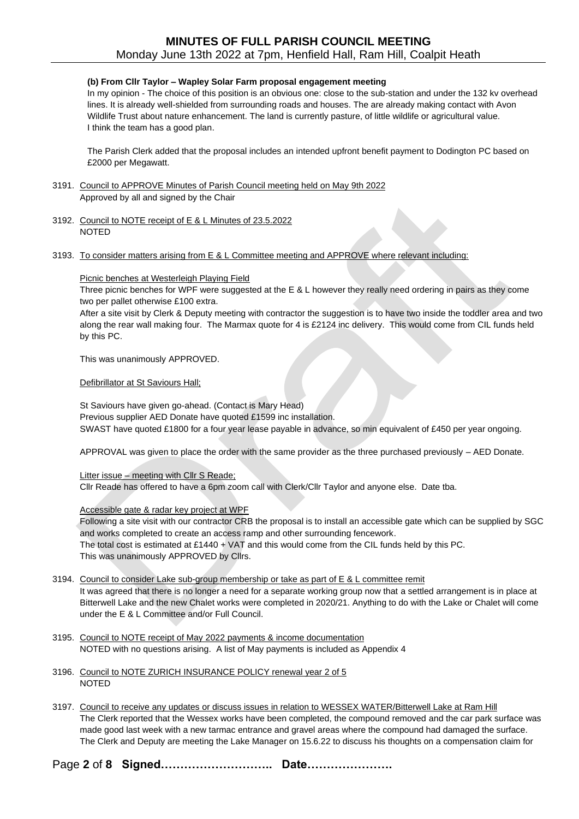### **(b) From Cllr Taylor – Wapley Solar Farm proposal engagement meeting**

In my opinion - The choice of this position is an obvious one: close to the sub-station and under the 132 kv overhead lines. It is already well-shielded from surrounding roads and houses. The are already making contact with Avon Wildlife Trust about nature enhancement. The land is currently pasture, of little wildlife or agricultural value. I think the team has a good plan.

The Parish Clerk added that the proposal includes an intended upfront benefit payment to Dodington PC based on £2000 per Megawatt.

- 3191. Council to APPROVE Minutes of Parish Council meeting held on May 9th 2022 Approved by all and signed by the Chair
- 3192. Council to NOTE receipt of E & L Minutes of 23.5.2022 NOTED
- 3193. To consider matters arising from E & L Committee meeting and APPROVE where relevant including:

#### Picnic benches at Westerleigh Playing Field

Three picnic benches for WPF were suggested at the E & L however they really need ordering in pairs as they come two per pallet otherwise £100 extra.

After a site visit by Clerk & Deputy meeting with contractor the suggestion is to have two inside the toddler area and two along the rear wall making four. The Marmax quote for 4 is £2124 inc delivery. This would come from CIL funds held by this PC.

This was unanimously APPROVED.

### Defibrillator at St Saviours Hall;

St Saviours have given go-ahead. (Contact is Mary Head) Previous supplier AED Donate have quoted £1599 inc installation. SWAST have quoted £1800 for a four year lease payable in advance, so min equivalent of £450 per year ongoing.

APPROVAL was given to place the order with the same provider as the three purchased previously – AED Donate.

Litter issue – meeting with Cllr S Reade;

Cllr Reade has offered to have a 6pm zoom call with Clerk/Cllr Taylor and anyone else. Date tba.

Accessible gate & radar key project at WPF

Following a site visit with our contractor CRB the proposal is to install an accessible gate which can be supplied by SGC and works completed to create an access ramp and other surrounding fencework. The total cost is estimated at £1440 + VAT and this would come from the CIL funds held by this PC. This was unanimously APPROVED by Cllrs.

- 3194. Council to consider Lake sub-group membership or take as part of E & L committee remit It was agreed that there is no longer a need for a separate working group now that a settled arrangement is in place at Bitterwell Lake and the new Chalet works were completed in 2020/21. Anything to do with the Lake or Chalet will come under the E & L Committee and/or Full Council.
- 3195. Council to NOTE receipt of May 2022 payments & income documentation NOTED with no questions arising. A list of May payments is included as Appendix 4
- 3196. Council to NOTE ZURICH INSURANCE POLICY renewal year 2 of 5 NOTED

3197. Council to receive any updates or discuss issues in relation to WESSEX WATER/Bitterwell Lake at Ram Hill The Clerk reported that the Wessex works have been completed, the compound removed and the car park surface was made good last week with a new tarmac entrance and gravel areas where the compound had damaged the surface. The Clerk and Deputy are meeting the Lake Manager on 15.6.22 to discuss his thoughts on a compensation claim for

Page **2** of **8 Signed……………………….. Date………………….**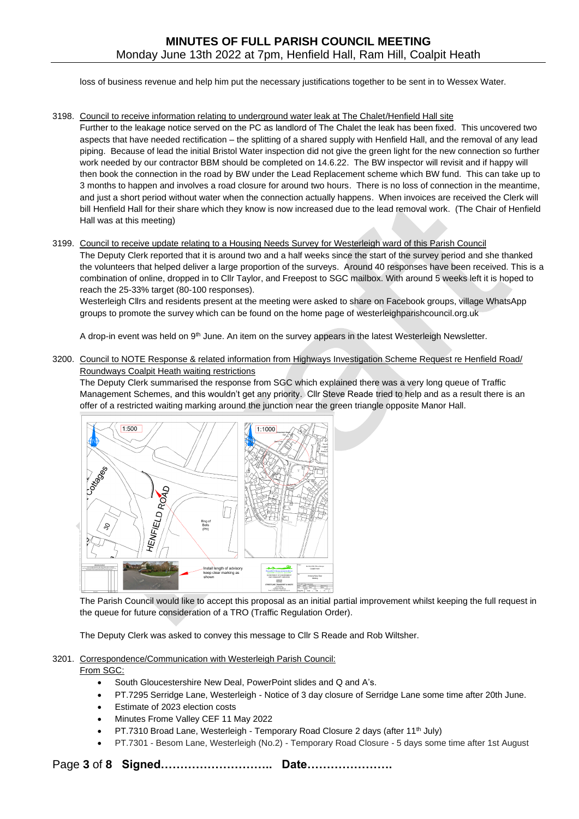loss of business revenue and help him put the necessary justifications together to be sent in to Wessex Water.

### 3198. Council to receive information relating to underground water leak at The Chalet/Henfield Hall site

Further to the leakage notice served on the PC as landlord of The Chalet the leak has been fixed. This uncovered two aspects that have needed rectification – the splitting of a shared supply with Henfield Hall, and the removal of any lead piping. Because of lead the initial Bristol Water inspection did not give the green light for the new connection so further work needed by our contractor BBM should be completed on 14.6.22. The BW inspector will revisit and if happy will then book the connection in the road by BW under the Lead Replacement scheme which BW fund. This can take up to 3 months to happen and involves a road closure for around two hours. There is no loss of connection in the meantime, and just a short period without water when the connection actually happens. When invoices are received the Clerk will bill Henfield Hall for their share which they know is now increased due to the lead removal work. (The Chair of Henfield Hall was at this meeting)

## 3199. Council to receive update relating to a Housing Needs Survey for Westerleigh ward of this Parish Council

The Deputy Clerk reported that it is around two and a half weeks since the start of the survey period and she thanked the volunteers that helped deliver a large proportion of the surveys. Around 40 responses have been received. This is a combination of online, dropped in to Cllr Taylor, and Freepost to SGC mailbox. With around 5 weeks left it is hoped to reach the 25-33% target (80-100 responses).

Westerleigh Cllrs and residents present at the meeting were asked to share on Facebook groups, village WhatsApp groups to promote the survey which can be found on the home page of westerleighparishcouncil.org.uk

A drop-in event was held on 9<sup>th</sup> June. An item on the survey appears in the latest Westerleigh Newsletter.

## 3200. Council to NOTE Response & related information from Highways Investigation Scheme Request re Henfield Road/ Roundways Coalpit Heath waiting restrictions

The Deputy Clerk summarised the response from SGC which explained there was a very long queue of Traffic Management Schemes, and this wouldn't get any priority. Cllr Steve Reade tried to help and as a result there is an offer of a restricted waiting marking around the junction near the green triangle opposite Manor Hall.



The Parish Council would like to accept this proposal as an initial partial improvement whilst keeping the full request in the queue for future consideration of a TRO (Traffic Regulation Order).

The Deputy Clerk was asked to convey this message to Cllr S Reade and Rob Wiltsher.

### 3201. Correspondence/Communication with Westerleigh Parish Council: From SGC:

- South Gloucestershire New Deal, PowerPoint slides and Q and A's.
- PT.7295 Serridge Lane, Westerleigh Notice of 3 day closure of Serridge Lane some time after 20th June.
- Estimate of 2023 election costs
- Minutes Frome Valley CEF 11 May 2022
- PT.7310 Broad Lane, Westerleigh Temporary Road Closure 2 days (after 11<sup>th</sup> July)
- PT.7301 Besom Lane, Westerleigh (No.2) Temporary Road Closure 5 days some time after 1st August

Page **3** of **8 Signed……………………….. Date………………….**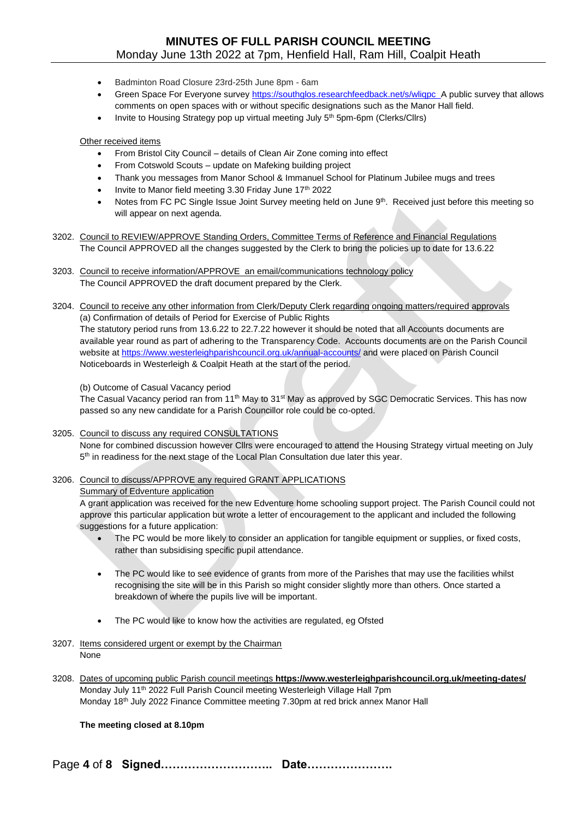- Badminton Road Closure 23rd-25th June 8pm 6am
- Green Space For Everyone survey https://southglos.researchfeedback.net/s/wliqpc\_A public survey that allows comments on open spaces with or without specific designations such as the Manor Hall field.
- Invite to Housing Strategy pop up virtual meeting July 5<sup>th</sup> 5pm-6pm (Clerks/Cllrs)

Other received items

- From Bristol City Council details of Clean Air Zone coming into effect
- From Cotswold Scouts update on Mafeking building project
- Thank you messages from Manor School & Immanuel School for Platinum Jubilee mugs and trees
- Invite to Manor field meeting 3.30 Friday June 17th 2022
- Notes from FC PC Single Issue Joint Survey meeting held on June 9<sup>th</sup>. Received just before this meeting so will appear on next agenda.
- 3202. Council to REVIEW/APPROVE Standing Orders, Committee Terms of Reference and Financial Regulations The Council APPROVED all the changes suggested by the Clerk to bring the policies up to date for 13.6.22
- 3203. Council to receive information/APPROVE an email/communications technology policy The Council APPROVED the draft document prepared by the Clerk.

Noticeboards in Westerleigh & Coalpit Heath at the start of the period.

3204. Council to receive any other information from Clerk/Deputy Clerk regarding ongoing matters/required approvals (a) Confirmation of details of Period for Exercise of Public Rights The statutory period runs from 13.6.22 to 22.7.22 however it should be noted that all Accounts documents are available year round as part of adhering to the Transparency Code. Accounts documents are on the Parish Council website at<https://www.westerleighparishcouncil.org.uk/annual-accounts/> and were placed on Parish Council

(b) Outcome of Casual Vacancy period

The Casual Vacancy period ran from 11<sup>th</sup> May to 31<sup>st</sup> May as approved by SGC Democratic Services. This has now passed so any new candidate for a Parish Councillor role could be co-opted.

3205. Council to discuss any required CONSULTATIONS

None for combined discussion however Cllrs were encouraged to attend the Housing Strategy virtual meeting on July 5<sup>th</sup> in readiness for the next stage of the Local Plan Consultation due later this year.

3206. Council to discuss/APPROVE any required GRANT APPLICATIONS

### Summary of Edventure application

A grant application was received for the new Edventure home schooling support project. The Parish Council could not approve this particular application but wrote a letter of encouragement to the applicant and included the following suggestions for a future application:

- The PC would be more likely to consider an application for tangible equipment or supplies, or fixed costs, rather than subsidising specific pupil attendance.
- The PC would like to see evidence of grants from more of the Parishes that may use the facilities whilst recognising the site will be in this Parish so might consider slightly more than others. Once started a breakdown of where the pupils live will be important.
- The PC would like to know how the activities are regulated, eg Ofsted
- 3207. Items considered urgent or exempt by the Chairman None
- 3208. Dates of upcoming public Parish council meetings **https://www.westerleighparishcouncil.org.uk/meeting-dates/** Monday July 11<sup>th</sup> 2022 Full Parish Council meeting Westerleigh Village Hall 7pm Monday 18th July 2022 Finance Committee meeting 7.30pm at red brick annex Manor Hall

**The meeting closed at 8.10pm**

Page **4** of **8 Signed……………………….. Date………………….**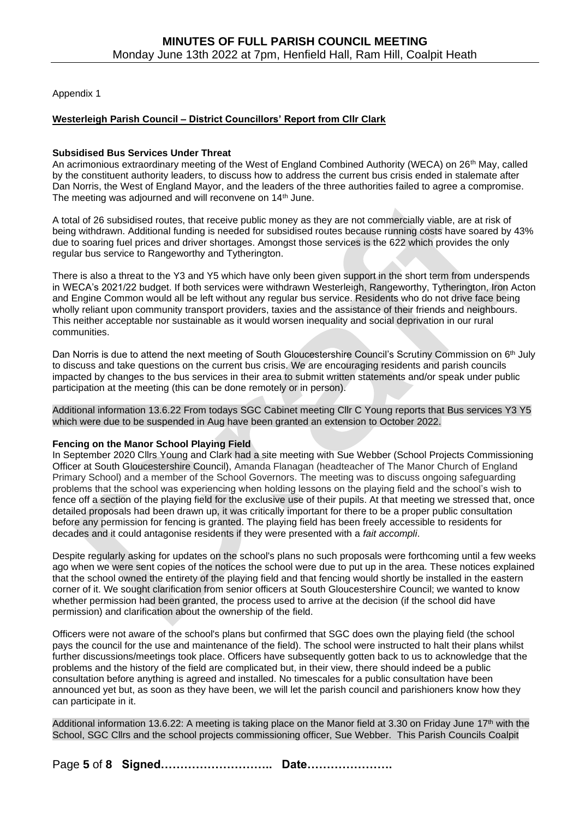Appendix 1

# **Westerleigh Parish Council – District Councillors' Report from Cllr Clark**

### **Subsidised Bus Services Under Threat**

An acrimonious extraordinary meeting of the West of England Combined Authority (WECA) on 26th May, called by the constituent authority leaders, to discuss how to address the current bus crisis ended in stalemate after Dan Norris, the West of England Mayor, and the leaders of the three authorities failed to agree a compromise. The meeting was adjourned and will reconvene on 14<sup>th</sup> June.

A total of 26 subsidised routes, that receive public money as they are not commercially viable, are at risk of being withdrawn. Additional funding is needed for subsidised routes because running costs have soared by 43% due to soaring fuel prices and driver shortages. Amongst those services is the 622 which provides the only regular bus service to Rangeworthy and Tytherington.

There is also a threat to the Y3 and Y5 which have only been given support in the short term from underspends in WECA's 2021/22 budget. If both services were withdrawn Westerleigh, Rangeworthy, Tytherington, Iron Acton and Engine Common would all be left without any regular bus service. Residents who do not drive face being wholly reliant upon community transport providers, taxies and the assistance of their friends and neighbours. This neither acceptable nor sustainable as it would worsen inequality and social deprivation in our rural communities.

Dan Norris is due to attend the next meeting of South Gloucestershire Council's Scrutiny Commission on 6<sup>th</sup> July to discuss and take questions on the current bus crisis. We are encouraging residents and parish councils impacted by changes to the bus services in their area to submit written statements and/or speak under public participation at the meeting (this can be done remotely or in person).

Additional information 13.6.22 From todays SGC Cabinet meeting Cllr C Young reports that Bus services Y3 Y5 which were due to be suspended in Aug have been granted an extension to October 2022.

## **Fencing on the Manor School Playing Field**

In September 2020 Cllrs Young and Clark had a site meeting with Sue Webber (School Projects Commissioning Officer at South Gloucestershire Council), Amanda Flanagan (headteacher of The Manor Church of England Primary School) and a member of the School Governors. The meeting was to discuss ongoing safeguarding problems that the school was experiencing when holding lessons on the playing field and the school's wish to fence off a section of the playing field for the exclusive use of their pupils. At that meeting we stressed that, once detailed proposals had been drawn up, it was critically important for there to be a proper public consultation before any permission for fencing is granted. The playing field has been freely accessible to residents for decades and it could antagonise residents if they were presented with a *fait accompli*.

Despite regularly asking for updates on the school's plans no such proposals were forthcoming until a few weeks ago when we were sent copies of the notices the school were due to put up in the area. These notices explained that the school owned the entirety of the playing field and that fencing would shortly be installed in the eastern corner of it. We sought clarification from senior officers at South Gloucestershire Council; we wanted to know whether permission had been granted, the process used to arrive at the decision (if the school did have permission) and clarification about the ownership of the field.

Officers were not aware of the school's plans but confirmed that SGC does own the playing field (the school pays the council for the use and maintenance of the field). The school were instructed to halt their plans whilst further discussions/meetings took place. Officers have subsequently gotten back to us to acknowledge that the problems and the history of the field are complicated but, in their view, there should indeed be a public consultation before anything is agreed and installed. No timescales for a public consultation have been announced yet but, as soon as they have been, we will let the parish council and parishioners know how they can participate in it.

Additional information 13.6.22: A meeting is taking place on the Manor field at 3.30 on Friday June 17<sup>th</sup> with the School, SGC Cllrs and the school projects commissioning officer, Sue Webber. This Parish Councils Coalpit

Page **5** of **8 Signed……………………….. Date………………….**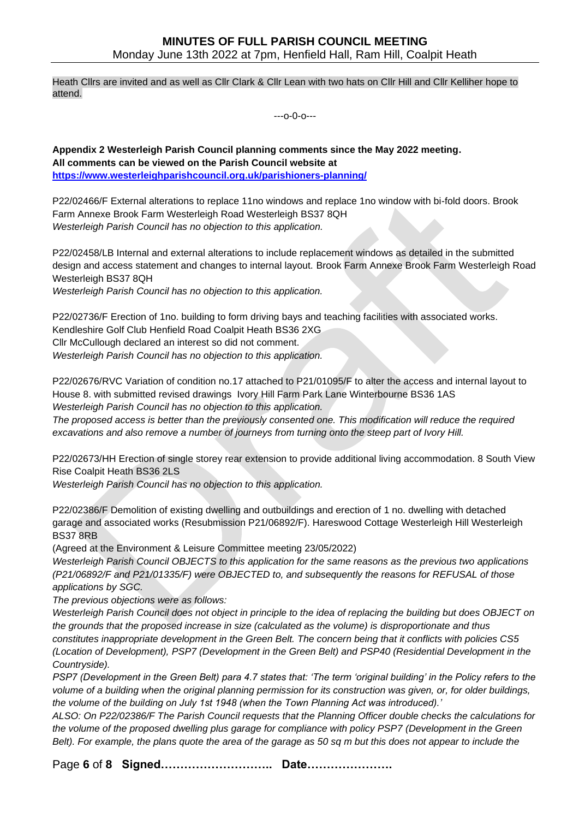Heath Cllrs are invited and as well as Cllr Clark & Cllr Lean with two hats on Cllr Hill and Cllr Kelliher hope to attend.

---o-0-o---

**Appendix 2 Westerleigh Parish Council planning comments since the May 2022 meeting. All comments can be viewed on the Parish Council website at <https://www.westerleighparishcouncil.org.uk/parishioners-planning/>**

P22/02466/F External alterations to replace 11no windows and replace 1no window with bi-fold doors. Brook Farm Annexe Brook Farm Westerleigh Road Westerleigh BS37 8QH *Westerleigh Parish Council has no objection to this application.*

P22/02458/LB Internal and external alterations to include replacement windows as detailed in the submitted design and access statement and changes to internal layout. Brook Farm Annexe Brook Farm Westerleigh Road Westerleigh BS37 8QH

*Westerleigh Parish Council has no objection to this application.*

P22/02736/F Erection of 1no. building to form driving bays and teaching facilities with associated works. Kendleshire Golf Club Henfield Road Coalpit Heath BS36 2XG Cllr McCullough declared an interest so did not comment. *Westerleigh Parish Council has no objection to this application.*

P22/02676/RVC Variation of condition no.17 attached to P21/01095/F to alter the access and internal layout to House 8. with submitted revised drawings Ivory Hill Farm Park Lane Winterbourne BS36 1AS *Westerleigh Parish Council has no objection to this application.*

*The proposed access is better than the previously consented one. This modification will reduce the required excavations and also remove a number of journeys from turning onto the steep part of Ivory Hill.*

P22/02673/HH Erection of single storey rear extension to provide additional living accommodation. 8 South View Rise Coalpit Heath BS36 2LS

*Westerleigh Parish Council has no objection to this application.*

P22/02386/F Demolition of existing dwelling and outbuildings and erection of 1 no. dwelling with detached garage and associated works (Resubmission P21/06892/F). Hareswood Cottage Westerleigh Hill Westerleigh BS37 8RB

(Agreed at the Environment & Leisure Committee meeting 23/05/2022)

*Westerleigh Parish Council OBJECTS to this application for the same reasons as the previous two applications (P21/06892/F and P21/01335/F) were OBJECTED to, and subsequently the reasons for REFUSAL of those applications by SGC.* 

*The previous objections were as follows:* 

*Westerleigh Parish Council does not object in principle to the idea of replacing the building but does OBJECT on the grounds that the proposed increase in size (calculated as the volume) is disproportionate and thus constitutes inappropriate development in the Green Belt. The concern being that it conflicts with policies CS5 (Location of Development), PSP7 (Development in the Green Belt) and PSP40 (Residential Development in the Countryside).*

*PSP7 (Development in the Green Belt) para 4.7 states that: 'The term 'original building' in the Policy refers to the volume of a building when the original planning permission for its construction was given, or, for older buildings, the volume of the building on July 1st 1948 (when the Town Planning Act was introduced).'*

*ALSO: On P22/02386/F The Parish Council requests that the Planning Officer double checks the calculations for the volume of the proposed dwelling plus garage for compliance with policy PSP7 (Development in the Green Belt). For example, the plans quote the area of the garage as 50 sq m but this does not appear to include the* 

Page **6** of **8 Signed……………………….. Date………………….**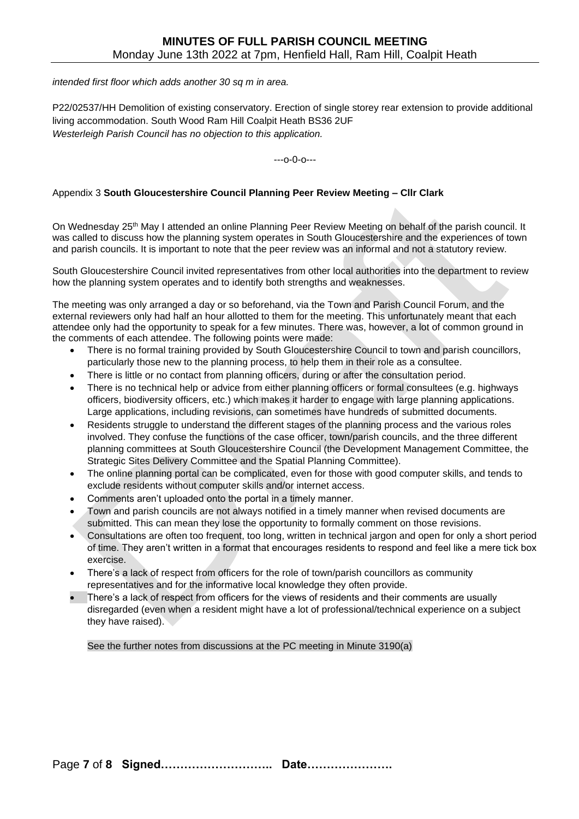*intended first floor which adds another 30 sq m in area.*

P22/02537/HH Demolition of existing conservatory. Erection of single storey rear extension to provide additional living accommodation. South Wood Ram Hill Coalpit Heath BS36 2UF *Westerleigh Parish Council has no objection to this application.*

---o-0-o---

## Appendix 3 **South Gloucestershire Council Planning Peer Review Meeting – Cllr Clark**

On Wednesday 25th May I attended an online Planning Peer Review Meeting on behalf of the parish council. It was called to discuss how the planning system operates in South Gloucestershire and the experiences of town and parish councils. It is important to note that the peer review was an informal and not a statutory review.

South Gloucestershire Council invited representatives from other local authorities into the department to review how the planning system operates and to identify both strengths and weaknesses.

The meeting was only arranged a day or so beforehand, via the Town and Parish Council Forum, and the external reviewers only had half an hour allotted to them for the meeting. This unfortunately meant that each attendee only had the opportunity to speak for a few minutes. There was, however, a lot of common ground in the comments of each attendee. The following points were made:

- There is no formal training provided by South Gloucestershire Council to town and parish councillors, particularly those new to the planning process, to help them in their role as a consultee.
- There is little or no contact from planning officers, during or after the consultation period.
- There is no technical help or advice from either planning officers or formal consultees (e.g. highways officers, biodiversity officers, etc.) which makes it harder to engage with large planning applications. Large applications, including revisions, can sometimes have hundreds of submitted documents.
- Residents struggle to understand the different stages of the planning process and the various roles involved. They confuse the functions of the case officer, town/parish councils, and the three different planning committees at South Gloucestershire Council (the Development Management Committee, the Strategic Sites Delivery Committee and the Spatial Planning Committee).
- The online planning portal can be complicated, even for those with good computer skills, and tends to exclude residents without computer skills and/or internet access.
- Comments aren't uploaded onto the portal in a timely manner.
- Town and parish councils are not always notified in a timely manner when revised documents are submitted. This can mean they lose the opportunity to formally comment on those revisions.
- Consultations are often too frequent, too long, written in technical jargon and open for only a short period of time. They aren't written in a format that encourages residents to respond and feel like a mere tick box exercise.
- There's a lack of respect from officers for the role of town/parish councillors as community representatives and for the informative local knowledge they often provide.
- There's a lack of respect from officers for the views of residents and their comments are usually disregarded (even when a resident might have a lot of professional/technical experience on a subject they have raised).

See the further notes from discussions at the PC meeting in Minute 3190(a)